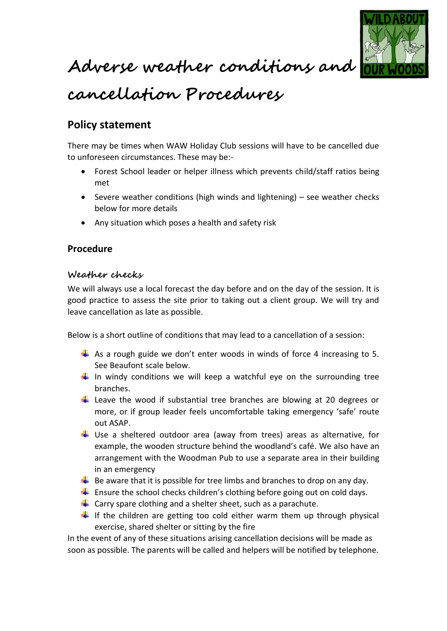

**Adverse weather conditions and** 

## **cancellation Procedures**

### **Policy statement**

There may be times when WAW Holiday Club sessions will have to be cancelled due to unforeseen circumstances. These may be:-

- Forest School leader or helper illness which prevents child/staff ratios being met
- Severe weather conditions (high winds and lightening) see weather checks below for more details
- Any situation which poses a health and safety risk

#### **Procedure**

#### **Weather checks**

We will always use a local forecast the day before and on the day of the session. It is good practice to assess the site prior to taking out a client group. We will try and leave cancellation as late as possible.

Below is a short outline of conditions that may lead to a cancellation of a session:

- As a rough guide we don't enter woods in winds of force 4 increasing to 5. See Beaufont scale below.
- $\frac{1}{2}$  In windy conditions we will keep a watchful eye on the surrounding tree branches.
- Leave the wood if substantial tree branches are blowing at 20 degrees or more, or if group leader feels uncomfortable taking emergency 'safe' route out ASAP.
- $\downarrow$  Use a sheltered outdoor area (away from trees) areas as alternative, for example, the wooden structure behind the woodland's café. We also have an arrangement with the Woodman Pub to use a separate area in their building in an emergency
- $\ddot{\bullet}$  Be aware that it is possible for tree limbs and branches to drop on any day.
- **Ensure the school checks children's clothing before going out on cold days.**
- $\downarrow$  Carry spare clothing and a shelter sheet, such as a parachute.
- $\downarrow$  If the children are getting too cold either warm them up through physical exercise, shared shelter or sitting by the fire

In the event of any of these situations arising cancellation decisions will be made as soon as possible. The parents will be called and helpers will be notified by telephone.